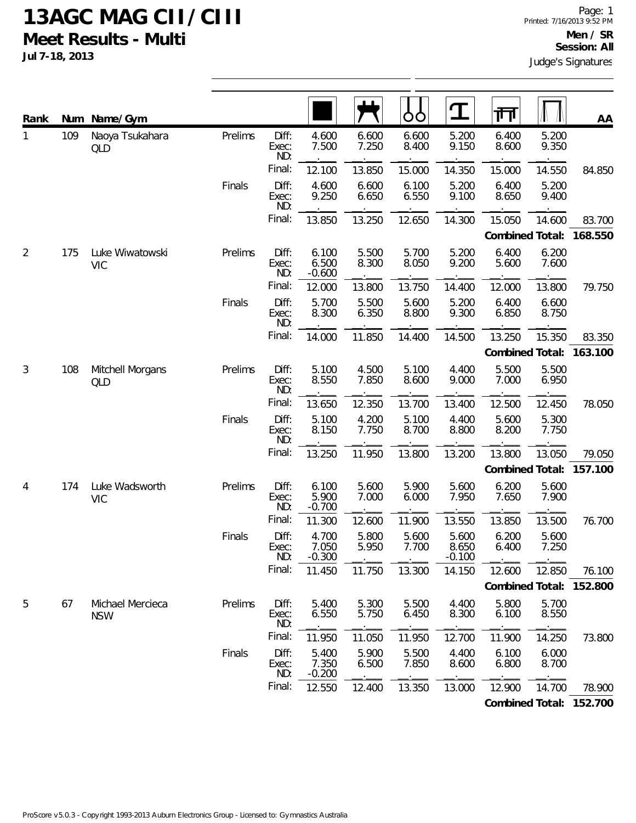**Jul 7-18, 2013**

| Rank         | Num | Name/Gym                       |         |                       |                            |                | ŌŌ             | $\mathbf T$                | 帀               |                | AA                      |
|--------------|-----|--------------------------------|---------|-----------------------|----------------------------|----------------|----------------|----------------------------|-----------------|----------------|-------------------------|
| $\mathbf{1}$ | 109 | Naoya Tsukahara<br>QLD         | Prelims | Diff:<br>Exec:<br>ND: | 4.600<br>7.500             | 6.600<br>7.250 | 6.600<br>8.400 | 5.200<br>9.150             | 6.400<br>8.600  | 5.200<br>9.350 |                         |
|              |     |                                |         | Final:                | 12.100                     | 13.850         | 15.000         | 14.350                     | 15.000          | 14.550         | 84.850                  |
|              |     |                                | Finals  | Diff:<br>Exec:<br>ND: | 4.600<br>9.250             | 6.600<br>6.650 | 6.100<br>6.550 | 5.200<br>9.100             | 6.400<br>8.650  | 5.200<br>9.400 |                         |
|              |     |                                |         | Final:                | 13.850                     | 13.250         | 12.650         | 14.300                     | 15.050          | 14.600         | 83.700                  |
|              |     |                                |         |                       |                            |                |                |                            | Combined Total: |                | 168.550                 |
| 2            | 175 | Luke Wiwatowski<br><b>VIC</b>  | Prelims | Diff:<br>Exec:<br>ND: | 6.100<br>6.500<br>$-0.600$ | 5.500<br>8.300 | 5.700<br>8.050 | 5.200<br>9.200             | 6.400<br>5.600  | 6.200<br>7.600 |                         |
|              |     |                                |         | Final:                | 12.000                     | 13.800         | 13.750         | 14.400                     | 12.000          | 13.800         | 79.750                  |
|              |     |                                | Finals  | Diff:<br>Exec:<br>ND: | 5.700<br>8.300             | 5.500<br>6.350 | 5.600<br>8.800 | 5.200<br>9.300             | 6.400<br>6.850  | 6.600<br>8.750 |                         |
|              |     |                                |         | Final:                | 14.000                     | 11.850         | 14.400         | 14.500                     | 13.250          | 15.350         | 83.350                  |
|              |     |                                |         |                       |                            |                |                |                            | Combined Total: |                | 163.100                 |
| 3            | 108 | Mitchell Morgans<br>QLD        | Prelims | Diff:<br>Exec:<br>ND: | 5.100<br>8.550             | 4.500<br>7.850 | 5.100<br>8.600 | 4.400<br>9.000             | 5.500<br>7.000  | 5.500<br>6.950 |                         |
|              |     |                                |         | Final:                | 13.650                     | 12.350         | 13.700         | 13.400                     | 12.500          | 12.450         | 78.050                  |
|              |     |                                | Finals  | Diff:<br>Exec:<br>ND: | 5.100<br>8.150             | 4.200<br>7.750 | 5.100<br>8.700 | 4.400<br>8.800             | 5.600<br>8.200  | 5.300<br>7.750 |                         |
|              |     |                                |         | Final:                | 13.250                     | 11.950         | 13.800         | 13.200                     | 13.800          | 13.050         | 79.050                  |
|              |     |                                |         |                       |                            |                |                |                            | Combined Total: |                | 157.100                 |
| 4            | 174 | Luke Wadsworth<br><b>VIC</b>   | Prelims | Diff:<br>Exec:<br>ND: | 6.100<br>5.900<br>$-0.700$ | 5.600<br>7.000 | 5.900<br>6.000 | 5.600<br>7.950             | 6.200<br>7.650  | 5.600<br>7.900 |                         |
|              |     |                                |         | Final:                | 11.300                     | 12.600         | 11.900         | 13.550                     | 13.850          | 13.500         | 76.700                  |
|              |     |                                | Finals  | Diff:<br>Exec:<br>ND: | 4.700<br>7.050<br>$-0.300$ | 5.800<br>5.950 | 5.600<br>7.700 | 5.600<br>8.650<br>$-0.100$ | 6.200<br>6.400  | 5.600<br>7.250 |                         |
|              |     |                                |         | Final:                | 11.450                     | 11.750         | 13.300         | 14.150                     | 12.600          | 12.850         | 76.100                  |
|              |     |                                |         |                       |                            |                |                |                            |                 |                | Combined Total: 152.800 |
| 5            | 67  | Michael Mercieca<br><b>NSW</b> | Prelims | Diff:<br>Exec:<br>ND: | 5.400<br>6.550             | 5.300<br>5.750 | 5.500<br>6.450 | 4.400<br>8.300             | 5.800<br>6.100  | 5.700<br>8.550 |                         |
|              |     |                                |         | Final:                | 11.950                     | 11.050         | 11.950         | 12.700                     | 11.900          | 14.250         | 73.800                  |
|              |     |                                | Finals  | Diff:<br>Exec:<br>ND: | 5.400<br>7.350<br>$-0.200$ | 5.900<br>6.500 | 5.500<br>7.850 | 4.400<br>8.600             | 6.100<br>6.800  | 6.000<br>8.700 |                         |
|              |     |                                |         | Final:                | 12.550                     | 12.400         | 13.350         | 13.000                     | 12.900          | 14.700         | 78.900                  |
|              |     |                                |         |                       |                            |                |                |                            |                 |                | Combined Total: 152.700 |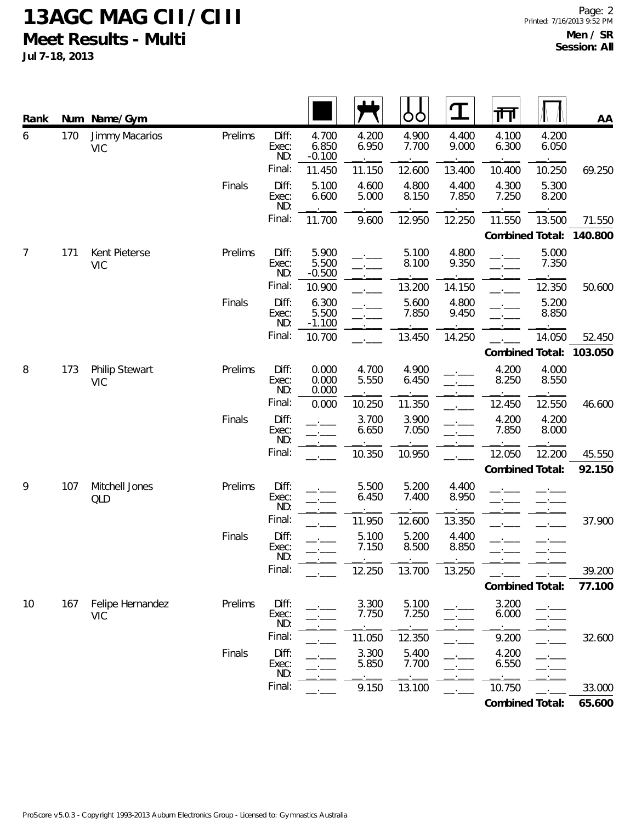**Jul 7-18, 2013**

| Rank |     | Num Name/Gym                   |         |                       |                            |                | ŌÒ             | $\mathbf T$    | 帀               |                | <b>AA</b> |
|------|-----|--------------------------------|---------|-----------------------|----------------------------|----------------|----------------|----------------|-----------------|----------------|-----------|
| 6    | 170 | Jimmy Macarios<br><b>VIC</b>   | Prelims | Diff:<br>Exec:<br>ND: | 4.700<br>6.850<br>$-0.100$ | 4.200<br>6.950 | 4.900<br>7.700 | 4.400<br>9.000 | 4.100<br>6.300  | 4.200<br>6.050 |           |
|      |     |                                |         | Final:                | 11.450                     | 11.150         | 12.600         | 13.400         | 10.400          | 10.250         | 69.250    |
|      |     |                                | Finals  | Diff:<br>Exec:<br>ND: | 5.100<br>6.600             | 4.600<br>5.000 | 4.800<br>8.150 | 4.400<br>7.850 | 4.300<br>7.250  | 5.300<br>8.200 |           |
|      |     |                                |         | Final:                | 11.700                     | 9.600          | 12.950         | 12.250         | 11.550          | 13.500         | 71.550    |
|      |     |                                |         |                       |                            |                |                |                | Combined Total: |                | 140.800   |
| 7    | 171 | Kent Pieterse<br><b>VIC</b>    | Prelims | Diff:<br>Exec:<br>ND: | 5.900<br>5.500<br>$-0.500$ |                | 5.100<br>8.100 | 4.800<br>9.350 |                 | 5.000<br>7.350 |           |
|      |     |                                |         | Final:                | 10.900                     |                | 13.200         | 14.150         |                 | 12.350         | 50.600    |
|      |     |                                | Finals  | Diff:<br>Exec:<br>ND: | 6.300<br>5.500<br>$-1.100$ |                | 5.600<br>7.850 | 4.800<br>9.450 |                 | 5.200<br>8.850 |           |
|      |     |                                |         | Final:                | 10.700                     |                | 13.450         | 14.250         |                 | 14.050         | 52.450    |
|      |     |                                |         |                       |                            |                |                |                | Combined Total: |                | 103.050   |
| 8    | 173 | Philip Stewart<br><b>VIC</b>   | Prelims | Diff:<br>Exec:<br>ND: | 0.000<br>0.000<br>0.000    | 4.700<br>5.550 | 4.900<br>6.450 |                | 4.200<br>8.250  | 4.000<br>8.550 |           |
|      |     |                                |         | Final:                | 0.000                      | 10.250         | 11.350         |                | 12.450          | 12.550         | 46.600    |
|      |     |                                | Finals  | Diff:<br>Exec:<br>ND: |                            | 3.700<br>6.650 | 3.900<br>7.050 |                | 4.200<br>7.850  | 4.200<br>8.000 |           |
|      |     |                                |         | Final:                |                            | 10.350         | 10.950         |                | 12.050          | 12.200         | 45.550    |
|      |     |                                |         |                       |                            |                |                |                | Combined Total: |                | 92.150    |
| 9    | 107 | Mitchell Jones<br><b>QLD</b>   | Prelims | Diff:<br>Exec:<br>ND: |                            | 5.500<br>6.450 | 5.200<br>7.400 | 4.400<br>8.950 |                 |                |           |
|      |     |                                |         | Final:                |                            | 11.950         | 12.600         | 13.350         |                 |                | 37.900    |
|      |     |                                | Finals  | Diff:<br>Exec:<br>ND: |                            | 5.100<br>7.150 | 5.200<br>8.500 | 4.400<br>8.850 |                 |                |           |
|      |     |                                |         | Final:                |                            | 12.250         | 13.700         | 13.250         |                 |                | 39.200    |
|      |     |                                |         |                       |                            |                |                |                | Combined Total: |                | 77.100    |
| 10   | 167 | Felipe Hernandez<br><b>VIC</b> | Prelims | Diff:<br>Exec:<br>ND: |                            | 3.300<br>7.750 | 5.100<br>7.250 |                | 3.200<br>6.000  |                |           |
|      |     |                                |         | Final:                |                            | 11.050         | 12.350         |                | 9.200           |                | 32.600    |
|      |     |                                | Finals  | Diff:<br>Exec:<br>ND: |                            | 3.300<br>5.850 | 5.400<br>7.700 |                | 4.200<br>6.550  |                |           |
|      |     |                                |         | Final:                |                            | 9.150          | 13.100         |                | 10.750          |                | 33.000    |
|      |     |                                |         |                       |                            |                |                |                | Combined Total: |                | 65.600    |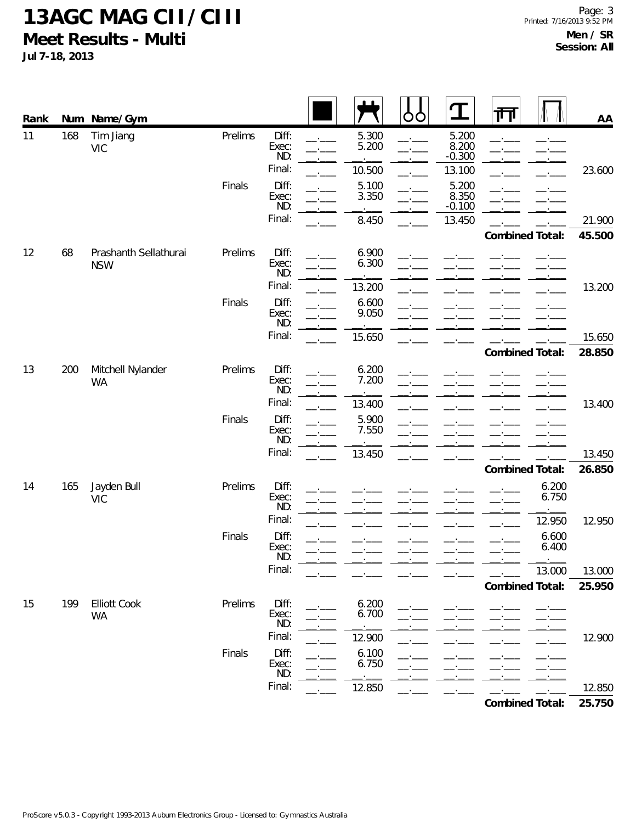**Jul 7-18, 2013**

| Rank |     | Num Name/Gym                        |         |                                 |                          | O<br>O | $\bf{T}$                             | 帀 |                 | AA     |
|------|-----|-------------------------------------|---------|---------------------------------|--------------------------|--------|--------------------------------------|---|-----------------|--------|
| 11   | 168 | Tim Jiang<br><b>VIC</b>             | Prelims | Diff:<br>Exec:<br>ND:<br>Final: | 5.300<br>5.200<br>10.500 |        | 5.200<br>8.200<br>$-0.300$<br>13.100 |   |                 | 23.600 |
|      |     |                                     | Finals  | Diff:<br>Exec:<br>ND:           | 5.100<br>3.350           |        | 5.200<br>8.350<br>$-0.100$           |   |                 |        |
|      |     |                                     |         | Final:                          | 8.450                    |        | 13.450                               |   |                 | 21.900 |
|      |     |                                     |         |                                 |                          |        |                                      |   | Combined Total: | 45.500 |
| 12   | 68  | Prashanth Sellathurai<br><b>NSW</b> | Prelims | Diff:<br>Exec:<br>ND:           | $6.900$<br>$6.300$       |        |                                      |   |                 |        |
|      |     |                                     |         | Final:                          | 13.200                   |        |                                      |   |                 | 13.200 |
|      |     |                                     | Finals  | Diff:<br>Exec:<br>ND:           | 6.600<br>9.050           |        |                                      |   |                 |        |
|      |     |                                     |         | Final:                          | 15.650                   |        |                                      |   |                 | 15.650 |
|      |     |                                     |         |                                 |                          |        |                                      |   | Combined Total: | 28.850 |
| 13   | 200 | Mitchell Nylander<br><b>WA</b>      | Prelims | Diff:<br>Exec:<br>ND:           | 6.200<br>7.200           |        |                                      |   |                 |        |
|      |     |                                     |         | Final:                          | 13.400                   |        |                                      |   |                 | 13.400 |
|      |     |                                     | Finals  | Diff:<br>Exec:<br>ND:           | 5.900<br>7.550           |        |                                      |   |                 |        |
|      |     |                                     |         | Final:                          | 13.450                   |        |                                      |   |                 | 13.450 |
|      |     |                                     |         |                                 |                          |        |                                      |   | Combined Total: | 26.850 |
| 14   | 165 | Jayden Bull<br><b>VIC</b>           | Prelims | Diff:<br>Exec:<br>ND:           |                          |        |                                      |   | 6.200<br>6.750  |        |
|      |     |                                     |         | Final:                          |                          |        |                                      |   | 12.950          | 12.950 |
|      |     |                                     | Finals  | Diff:<br>Exec:<br>ND:           |                          |        |                                      |   | 6.600<br>6.400  |        |
|      |     |                                     |         | Final:                          |                          |        |                                      |   | 13.000          | 13.000 |
|      |     |                                     |         |                                 |                          |        |                                      |   | Combined Total: | 25.950 |
| 15   | 199 | <b>Elliott Cook</b><br>WA           | Prelims | Diff:<br>Exec:<br>ND:           | 6.200<br>6.700           |        |                                      |   |                 |        |
|      |     |                                     |         | Final:                          | 12.900                   |        |                                      |   |                 | 12.900 |
|      |     |                                     | Finals  | Diff:<br>Exec:<br>ND:           | 6.100<br>6.750           |        |                                      |   |                 |        |
|      |     |                                     |         | Final:                          | 12.850                   |        |                                      |   |                 | 12.850 |

**Combined Total: 25.750**